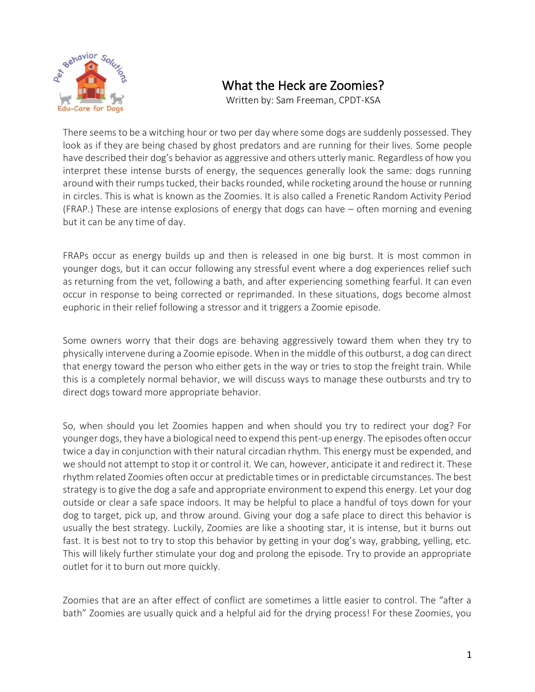

## What the Heck are Zoomies?

Written by: Sam Freeman, CPDT-KSA

There seems to be a witching hour or two per day where some dogs are suddenly possessed. They look as if they are being chased by ghost predators and are running for their lives. Some people have described their dog's behavior as aggressive and others utterly manic. Regardless of how you interpret these intense bursts of energy, the sequences generally look the same: dogs running around with their rumps tucked, their backs rounded, while rocketing around the house or running in circles. This is what is known as the Zoomies. It is also called a Frenetic Random Activity Period (FRAP.) These are intense explosions of energy that dogs can have – often morning and evening but it can be any time of day.

FRAPs occur as energy builds up and then is released in one big burst. It is most common in younger dogs, but it can occur following any stressful event where a dog experiences relief such as returning from the vet, following a bath, and after experiencing something fearful. It can even occur in response to being corrected or reprimanded. In these situations, dogs become almost euphoric in their relief following a stressor and it triggers a Zoomie episode.

Some owners worry that their dogs are behaving aggressively toward them when they try to physically intervene during a Zoomie episode. When in the middle of this outburst, a dog can direct that energy toward the person who either gets in the way or tries to stop the freight train. While this is a completely normal behavior, we will discuss ways to manage these outbursts and try to direct dogs toward more appropriate behavior.

So, when should you let Zoomies happen and when should you try to redirect your dog? For younger dogs, they have a biological need to expend this pent-up energy. The episodes often occur twice a day in conjunction with their natural circadian rhythm. This energy must be expended, and we should not attempt to stop it or control it. We can, however, anticipate it and redirect it. These rhythm related Zoomies often occur at predictable times or in predictable circumstances. The best strategy is to give the dog a safe and appropriate environment to expend this energy. Let your dog outside or clear a safe space indoors. It may be helpful to place a handful of toys down for your dog to target, pick up, and throw around. Giving your dog a safe place to direct this behavior is usually the best strategy. Luckily, Zoomies are like a shooting star, it is intense, but it burns out fast. It is best not to try to stop this behavior by getting in your dog's way, grabbing, yelling, etc. This will likely further stimulate your dog and prolong the episode. Try to provide an appropriate outlet for it to burn out more quickly.

Zoomies that are an after effect of conflict are sometimes a little easier to control. The "after a bath" Zoomies are usually quick and a helpful aid for the drying process! For these Zoomies, you